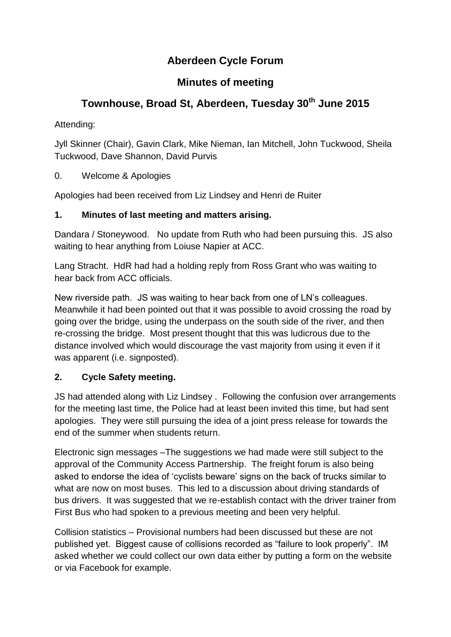## **Aberdeen Cycle Forum**

## **Minutes of meeting**

# **Townhouse, Broad St, Aberdeen, Tuesday 30th June 2015**

Attending:

Jyll Skinner (Chair), Gavin Clark, Mike Nieman, Ian Mitchell, John Tuckwood, Sheila Tuckwood, Dave Shannon, David Purvis

0. Welcome & Apologies

Apologies had been received from Liz Lindsey and Henri de Ruiter

### **1. Minutes of last meeting and matters arising.**

Dandara / Stoneywood. No update from Ruth who had been pursuing this. JS also waiting to hear anything from Loiuse Napier at ACC.

Lang Stracht. HdR had had a holding reply from Ross Grant who was waiting to hear back from ACC officials.

New riverside path. JS was waiting to hear back from one of LN's colleagues. Meanwhile it had been pointed out that it was possible to avoid crossing the road by going over the bridge, using the underpass on the south side of the river, and then re-crossing the bridge. Most present thought that this was ludicrous due to the distance involved which would discourage the vast majority from using it even if it was apparent (i.e. signposted).

## **2. Cycle Safety meeting.**

JS had attended along with Liz Lindsey . Following the confusion over arrangements for the meeting last time, the Police had at least been invited this time, but had sent apologies. They were still pursuing the idea of a joint press release for towards the end of the summer when students return.

Electronic sign messages –The suggestions we had made were still subject to the approval of the Community Access Partnership. The freight forum is also being asked to endorse the idea of 'cyclists beware' signs on the back of trucks similar to what are now on most buses. This led to a discussion about driving standards of bus drivers. It was suggested that we re-establish contact with the driver trainer from First Bus who had spoken to a previous meeting and been very helpful.

Collision statistics – Provisional numbers had been discussed but these are not published yet. Biggest cause of collisions recorded as "failure to look properly". IM asked whether we could collect our own data either by putting a form on the website or via Facebook for example.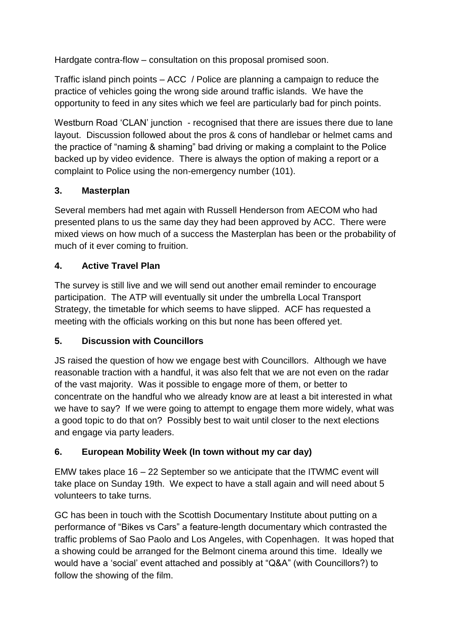Hardgate contra-flow – consultation on this proposal promised soon.

Traffic island pinch points – ACC / Police are planning a campaign to reduce the practice of vehicles going the wrong side around traffic islands. We have the opportunity to feed in any sites which we feel are particularly bad for pinch points.

Westburn Road 'CLAN' junction - recognised that there are issues there due to lane layout. Discussion followed about the pros & cons of handlebar or helmet cams and the practice of "naming & shaming" bad driving or making a complaint to the Police backed up by video evidence. There is always the option of making a report or a complaint to Police using the non-emergency number (101).

#### **3. Masterplan**

Several members had met again with Russell Henderson from AECOM who had presented plans to us the same day they had been approved by ACC. There were mixed views on how much of a success the Masterplan has been or the probability of much of it ever coming to fruition.

#### **4. Active Travel Plan**

The survey is still live and we will send out another email reminder to encourage participation. The ATP will eventually sit under the umbrella Local Transport Strategy, the timetable for which seems to have slipped. ACF has requested a meeting with the officials working on this but none has been offered yet.

#### **5. Discussion with Councillors**

JS raised the question of how we engage best with Councillors. Although we have reasonable traction with a handful, it was also felt that we are not even on the radar of the vast majority. Was it possible to engage more of them, or better to concentrate on the handful who we already know are at least a bit interested in what we have to say? If we were going to attempt to engage them more widely, what was a good topic to do that on? Possibly best to wait until closer to the next elections and engage via party leaders.

#### **6. European Mobility Week (In town without my car day)**

EMW takes place 16 – 22 September so we anticipate that the ITWMC event will take place on Sunday 19th. We expect to have a stall again and will need about 5 volunteers to take turns.

GC has been in touch with the Scottish Documentary Institute about putting on a performance of "Bikes vs Cars" a feature-length documentary which contrasted the traffic problems of Sao Paolo and Los Angeles, with Copenhagen. It was hoped that a showing could be arranged for the Belmont cinema around this time. Ideally we would have a 'social' event attached and possibly at "Q&A" (with Councillors?) to follow the showing of the film.